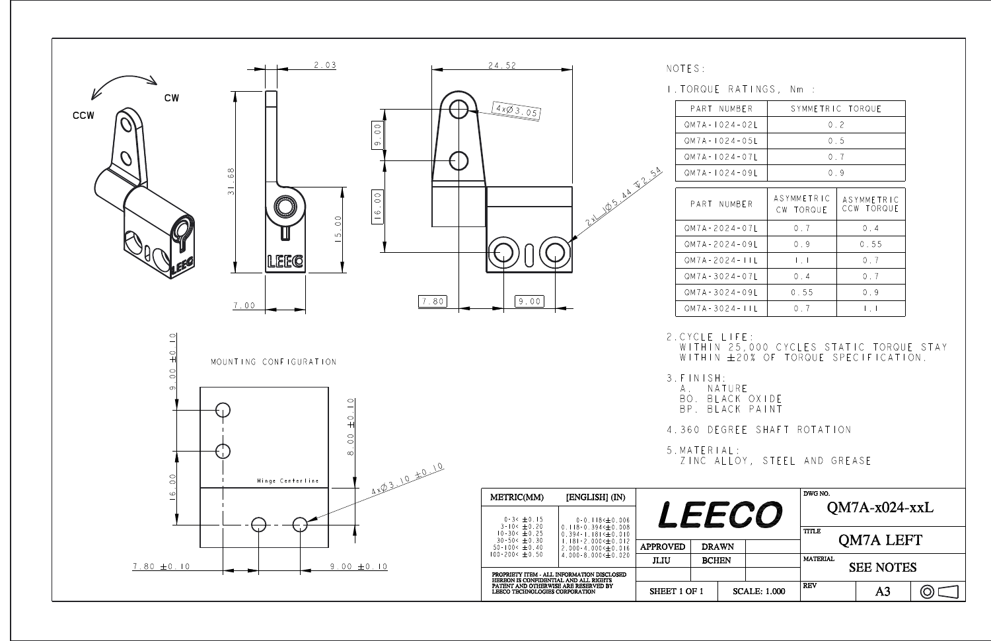|                                     |              |            | EECO                             | DWG NO.<br>$OM7A-x024-xxL$          |  |  |  |
|-------------------------------------|--------------|------------|----------------------------------|-------------------------------------|--|--|--|
| <b>APPROVED</b><br><b>DRAWN</b>     |              |            | <b>TITLE</b><br><b>QM7A LEFT</b> |                                     |  |  |  |
| JLIU                                | <b>BCHEN</b> |            |                                  | <b>MATERIAL</b><br><b>SEE NOTES</b> |  |  |  |
| <b>SCALE: 1.000</b><br>SHEET 1 OF 1 |              | <b>REV</b> | A <sub>3</sub>                   |                                     |  |  |  |

 WITHIN 25,000 CYCLES STATIC TORQUE STAY WITHIN  $\pm 20\%$  OF TORQUE SPECIFICATION.

| JMBER      | SYMMETRIC TORQUE        |                          |  |  |  |
|------------|-------------------------|--------------------------|--|--|--|
| 24-02L     | 0.2                     |                          |  |  |  |
| $24 - 05L$ | 0.5                     |                          |  |  |  |
| $24 - 07L$ | 0.7                     |                          |  |  |  |
| $24 - 09L$ | 0.9                     |                          |  |  |  |
|            |                         |                          |  |  |  |
| JMBER      | ASYMMETRIC<br>CW TORQUE | ASYMMETRIC<br>CCW TORQUE |  |  |  |
| 24 - 07 L  | 0.7                     | 0.4                      |  |  |  |
| $24 - 09L$ | 0.9                     | 0.55                     |  |  |  |
| $24 - 11L$ | $\vert \cdot \vert$     | 0.7                      |  |  |  |
| $24 - 07L$ | 0.4                     | 0.7                      |  |  |  |
| $24 - 09L$ | 0.55                    | 0.9                      |  |  |  |
| $24 - 11L$ | 0.7                     | $\vert \cdot \vert$      |  |  |  |



| RATINGS,<br>Nm : |  |
|------------------|--|
|------------------|--|

4.360 DEGREE SHAFT ROTATION

ZINC ALLOY, STEEL AND GREASE